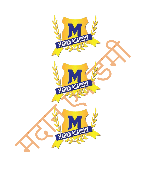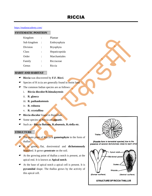<https://madanacademy.com/>

#### **SYSTEMATIC POSITION ::**

| Kingdom     |                | Plantae          |
|-------------|----------------|------------------|
| Sub kingdom |                | Embryophyta      |
| Division    |                | <b>Bryophyta</b> |
| Class       | :              | Hepaticopsida    |
| Order       | :              | Marchantiales    |
| Family      | $\ddot{\cdot}$ | Ricciaceae       |
| Genus       |                | Riccia           |

#### **HABIT AND HABITAT ::**

- **Riccia** was discovered by **F.F. Ricci**.
- Species of R iccia are generally found in moist land.
- The common Indian species are as follows :
	- i. **Riccia discolor/R.himalayensis**
	- ii. **R. glauca**
	- iii. **R. pathankotensis**
	- iv. **R. robusta**
	- v. **R. crystallina**
- **F** Riccia discolor found in Rajasthan.
- Some species of Riccia are **aquatic**.
- Such as **Riccia fluitans, R.abuensis, R.riella etc**.

### **STRUCTURE ::**

- The main plant of Riccia is **gametophyte** in the form of thallus.
- It is green, flat, dorsiventral and **dichotomously**  branched. It grows **prostrate** on the soil.
- At the growing point of thallus a notch is present, at the apical end. It is known as **Apical notch**.
- $\bullet$  At the base of apical notch a apical cell is present. It is **pyramidal** shape. The thallus grows by the activity of this apical cell.



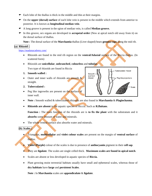- $\bullet$  Each lobe of the thallus is thick in the middle and thin at their margins.
- On the **upper (dorsal) surface** of each lobe vein is present in the middle which extends from anterior to posterior. It is known as **longitudinal median vein**.
- A long groove is present in the rgion of median vein, is called **Median groove.**
- In this groove, sex organs are developed in **acropetal order** (New at apical notch old away from it) on the dorsal surface of thallus.

**Note :** The dorsal surface of the **Marchantia** thallus (Liver shaped) bears **gemma cups** along the mid rib.

#### **(a) Rhizoid :**

#### <https://madanacademy.com/>

- Rhizoids are found in the mid rib region on the **ventral/Adaxial** surface of the Riccia thallus. (In scattered form)
- Rhizoids are **unicellular**, **unbranched**, **colourless** and **tubular**.

Two type of rhizoids are found in Riccia

- **1. Smooth walled :**
- Outer and inner walls of rhizoids are smooth & straight.
- **2. Tuberculated :**
- Peg like ingrowths are present on the surface of inner wall.



Tuberculated rhizoid

- **Note :** Smooth walled & tuberculated rthizoids are also found in **Marchantia** & **Plagiochasma**.
- **Rhizoids are absent** in the aquatic species of Riccia. Such as **R.fluitans**.

 **Function :** The main function of the rhizoids are is **to fix the plant** with the substratum and it **absorbs** some amount of water and minerals.

• The whole ventral surface also absorbs water and minerals.

#### **(b) Scales :**

- Triangular, **multicellular** and **violet colour scales** are present on the margin of **ventral surface** of thallus.
- **Violet (Purple)** colour of the scales is due to presence of **anthocyanin** pigment in their **cell sap**.
- They are **ligulate**. The scales are single celled thick. **Maximum scales are found in apical notch**.
- Scales are absent or less developed in aquatic species of **Riccia.**
- Plant growing moist terrestrial habitats usually have small and ephemeral scales, whereas those of **dry habitats** have **large** and **persistent Scales**.

**Note :** In **Marchantia** scales are **appendiculate** & **ligulate**.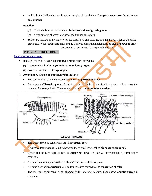• In Riccia the half scales are found at margin of the thallus. **Complete scales are found in the apical notch**.

#### **Function :**

- (1) The main function of the scales is the **protection of growing points**.
- (2) Some amount of water also absorbed through the scales.
- Scales are formed by the activity of the apical cell and arranged in a single row, but as the thallus grows and widen, each scale splits into two halves along the median line, so that **two rows of scales** are seen, one row near each margin of the thallus.

#### **INTERNAL STRUCTURE ::**

#### <https://madanacademy.com/>

- Interally, the thallus is divided into **two** distinct zones or regions.
	- (i) Upper or dorsal : **Photosynthetic** or **assimilatory region.**
	- (ii) Lower or Ventral **: - Storage region**.
- **(i) Assimilatory Region or Photosynthetic region** :
	- The cells of this region are **loosely** arranged and **parenchymatous**.
	- Chloroplasts **(Discoid type)** are found in the cells of this region. So this region is able to carry the process of photosynthesis. Therefore it is known as **photosynthetic region**.



- The chlorophyllous cells are arranged in **vertical rows**.
- A narrow, deep space is found in between the vertical rows, called **air spac**e or **air canal**.
- Upper cell of each vertical row is **colourless**, larger in size & differentiated to form upper epidermis.
- Air canal opens at upper epidermis through the **pore** called **air pore**.
- Air canals are **schizogenous** in origin. It means it is formed by the **separation of cells.**
- The presence of air canal or air chamber is the ancestral feature. They shows **aquatic ancestral** Character.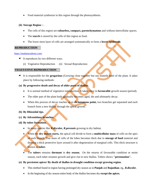• Food material synthesize in this region through the photosynthesis.

#### **(ii) Storage Region : -**

- The cells of this region are **colourless, compact, parenchymatous** and without intercellular spaces.
- The **starch** is stored by the cells of this region as food.
- The lower most layer of cells are arranged systematically to form a **lower epidermis.**

#### **REPRODUCTION ::**

#### <https://madanacademy.com/>

- $\bullet$  It reproduces by two different ways.
	- (i) Vegetative Reproduction (ii) Sexual Reproduction

#### **VEGETATIVE REPRODUCTION ::**

 It is responsible for the **gregarious** (Growing close together but not matted) habit of the plant. It takes place by following methods:

#### **(a) By progressive death and decay of older parts of thallus.**

- It is normal method of vegetative reproduction. It takes place in **favourable** growth season (period).
- The older part of the plant body gradually becomes aged, die and ultimately decay.
- When this process of decay reaches up to **dichotomous point**, two branches get separated and each branch form a new thallus through the apical growth.

#### **(b) By Rhizoidal tips.**

- **(c) By Adventitious branches.**
- **(d) By tuber formation.**
	- In many species like *R.discolor, R.perennis* growing in dry habitat.
	- When the **dry season starts,** the apical cell divide to form a **multicellular mass** of cells on the apex of each branch. This mass of cells of the lobes becomes thick due to **storage of food** material and develop a thick protective layer around it after degeneration of marginal cells. This thick structure is known as **tuber.**

• The **tubers** remains **dormant** in **dry season.** On the returns of favourable condition or moist season, each tuber resumes growth and give rise to new thallus. Tubers shows **"perennation".**

#### **(e) By persistent apices/ By death of thallus in drought condition except growing region.**

- This method found in region having prolonged dry season as in **Punjab** and **Rajasthan**. eg., *R.discolor.*
- In the beginning of dry season entire body of the thallus becomes dry **except the apices.**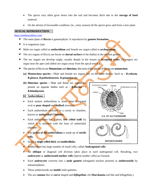- The apices very often grow down into the soil and becomes thick due to the **storage of food** material.
- On the advent of favourable condition. (ie., rainy season) all the apices grow and form a new plant.

#### **SEXUAL REPRODUCTION ::**

#### <https://madanacademy.com/>

- The main plant of **Riccia** is gametophyte. It reproduces by **gamete formation.**
- It is oogamous type.
- Male sex organ called as **antheridium** and female sex organ called as **archegonium.**
- The sex organs of Riccia are borne on **dorsal surface** of the thallus in the median groove.
- The sex organs are develop singly, usually deeply in the tissues in **acropetal order.** (Youngest sex organ near the apex and oldest sex organ away from the apical notch.)
- The species of Riccia are **Monoecious** and **dioecious.** But most of the species of Riccia are **monoecious.**
	- **(a) Monoecious species :** Male and female sex organs lies on the same thallus. Such as : *R.robusta, R.glauca, R.pathankotensis, R.gangetica etc.*
	- **(b) Dioecious species :** Male and femal sex organs are present on separate thallus such as : *R.discolor R.himalayensis.*

#### **[i] Antheridium :**

- Each mature antheridium is some what elongated oval or **pear shaped** and **stalked** structure.
- Each antheridium enclosed in a cavity or chamber, known as **antheridial-Chamber.**
- Each antheridium has a short, **few celled stalk** by which it is attached with the base of antheridial chamber.
- The **jacket of the antheridium** is made up of **sterile cells.**
- Jacket is **single celled thick** and **multicellular.**

• Antheridium has large number of small cells, called **Androgonial cells.**

- An **oblique** or diagonal cell division takes place in each androgonial cell. Resulting, two **androcytes** or **antherozoid mother cells** (Sperm mother cells) are formed.
- Each **androcytes** converts into a **male gamete** (elongated nucleus present) or **antherozoids** by metamorphosis.
- These antherozoids are **motile** male gametes.
- The are **comma** like or **curve** shaped and *biflagellate***.** (In **Marchantia** rod like and biflagellate.)

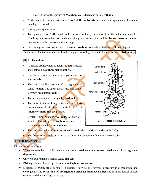**Note :** Most of the species of **Marchantia** are **dioecious** or **heterothallic.**

- At the maturation of antheridium **cell wall of the androcytes** dissolves during metamorphosis and mucilage is formed.
- It is **hygroscopic** in nature.
- The apical cells of **Antheridial Jacket** absorbs water by imbibition from the antheridial chamber Resulting, a pressure increase on the apical region of antheridium and the **Jacket bursts at the apex** then antherozoids come out with mucilage.
- On coming in contact with water, the **antherozoids swim freely** with the help of their flagella.

Dehiscence of antheridium takes place in the presence of high amount of water, is called **Hydrochasy.**

#### **[ii] Archegonium :**

- A mature archegonium is **flask shaped** structure and enclosed in **archegonial chamber.**
- It is attached with the base of archegonial chamber with the stalk.
- The basal swollen portion of archegonium is called **Venter.** The upper narrow tube like portion is termed **neck. (sterile cell)**
- The archegonium has a **single layered jacket.**
- The jacket in the neck region is composed of **six vertical rows** of cells. In each vertical row 6 to 9 **(mainly 6) neck cells** are present.
- Venter region contains **two cells.** A large cell which is termed **egg** or **oosphere** and above the oosphere is a small **venter canal cell.**



- The neck region has **4(mainly) – 6 neck canal cells.** (In **Marchantia** 4-8 N.C.C.)
- The **four** terminal cells of jacket of the neck of archegonium function as **cover-cells.**

#### **FERTILIZATION ::**

<https://madanacademy.com/>

- When archegonium is fully mature, the **neck canal cells** and **venter canal cells** of archegonium **degenerate.**
- Only one cell remains which is called **egg cell.**
- Disintegration of the cells give rise to **mucilaginous substance.**
- Mucilage is **hygroscopic** in nature. It absorbs water, results increase a pressure in archegonium and consequently the **cover cells of archegonium separate from each other** and forming funnel shaped opening and the mucilage oozes out.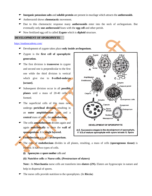- **Inorganic potassium salts** and **soluble protein** are present in mucilage which attracts the **antherozoids**.
- Antherozoid shows **chemotactic** movement.
- Due to this chemotactic response many **antherozoids** enter into the neck of archegonium. But eventually only **one antherozoid** fuses with the **egg cell** and other perish.
- Now fertilized egg cell is called **Zygote** which is **diploid** structure.

#### **DEVELOPMENT OF SPOROPHYTE ::**

<https://madanacademy.com/>

- Development of zygote takes place **only inside archegonium.**
- Zygote is the **first cell of sporophytic generation.**
- The first division is **transverse** in zygote and second one is perpendicular to the first one while the third division is vertical which give rise to **8-celled-embryo [octant].**
- Subsequent division occur in all **possible planes** until a mass of 20-40 cells is formed.
- The superficial cells of this mass now undergo **periclinal division,** resulting in an **outer amphithecium** layer and a **central** mass of cells, the **endothecium.**
- $\text{The cells **amphithecium** divides again and$ again **anticlinically** to form the **wall of sporogonium.** It is **single layered.**
- **Endothecium** acts as a **archesporium.**



- The cells of **endothecium** divides in all planes, resulting, a mass of cells **(sporogenous tissue)** is formed. It has two types of cells.
	- **(i) Sporocytes** or **spore mother** cells and
	- **(ii) Nutritive cells** or **Nurse cells. (Prestructure of elaters)**

**Note :** In **Marchantia** nurse cells are transform into **elaters (2N).** Elaters are hygroscopic in nature and help in dispersal of spores.

The nurse cells provide nutrition to the sporophytes. (In **Riccia**)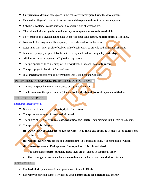- One **periclinal division** takes place in the cells of **venter region** during the development.
- Due to this bilayered covering is formed around the **sporogonium.** It is termed **calyptra.**
- Calyptra is **haploid.** Because, it is formed by venter region of archegonium.
- **The cell wall of sporogonium and sporocytes or spore mother cells are diploid.**
- Now, **meiotic** cell division takes place in spore mother cells, results, **haploid spores** are formed.
- Now wall of sporogonium disintegrates, to provide nutrition to the spores.
- Later inner most layer (wall) of Calyptra also breaks down to provide additional nourishment.
- In mature sporophyte spore **tetrads** lie in a cavity enclosed by a **single layered calyptra.**
- All the structures in capsule are Diploid except spore.
- The sporophyte of Riccia is simplest in **Bryophyta**. It is made up of **only capsule**.
- The sporophyte is **devoid of foot** and **seta.**
- In *Marchantia* sporophyte is differentiated into Foot, Seta and Capsule.

#### **DEHISCENCE OF CAPSULE / DEHISCENCE OF SPORE SAC ::**

- There is no special means of dehiscence of capsule of **Riccia.**
- The liberation of the spores is brought about **by the death and decay of capsule and thallus**.

#### **STRUCTURE OF SPORE ::**

#### <https://madanacademy.com/>

- Spore is the **first cell** of the **gametophytic generation.**
- The spores are arranged in **tetrahedral tetrad.**
- The spores of Riccia are **uninucleate, pyramidal** and **rough.** Their diameter is 0.05 mm to 0.12 mm.
- $\bullet$  The spore wall is tri-layered.
	- **(i) Outer layer or Exospore or Exosporium :** It is **thick** and **spiny.** It is made up of **callose** and **cutin**.
	- **(ii) Middle layer or Mesospore or Mesosporium :** It is thick and solid. It is composed of **Cutin.**

**(iii)Innermost layer of Endospore or Endosporium :** It is **thin** and **elastic.**

It is composed of **pecto-cellulose.** These layer are developed in centripetal order.

• The spores germinate when there is **enough water** in the soil and **new thallus** is formed.

#### **LIFE CYCLE ::**

- **Haplo-diplotic** type alternation of generation is found in **Riccia.**
- **Sporophyte of riccia** completely depend upon **gametophyte for nutrition** and **shelter.**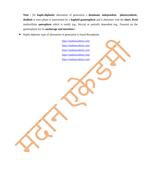**Note :** [In **haplo-diplontic** alternation of generation a **dominant**, **independent**, **photosynthetic**, **thalloid** or erect phase is represented by a **haploid gametophyte** and it alternates with the **short, lived**  multicellular **sporophyte** which is totally (eg., Riccia) or partially dependent (eg., Funaria) on the gametophyte for its **anchorage and nutrition.**]

Haplo-diplontic type of alternation of generation is found Bryophytes.

<https://madanacademy.com/> <https://madanacademy.com/> <https://madanacademy.com/> <https://madanacademy.com/> <https://madanacademy.com/>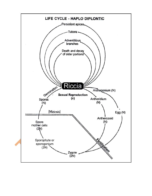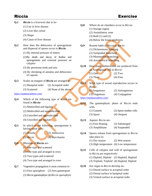## Riccia Exercise

| Q.1              | <i>Riccia</i> is a liverwort due to its-<br>(1) Use in liver disease<br>(2) Liver like colour<br>$(3)$ Shape<br>(4) Cause of liver disease                                                                                                                | Q.8         | Where do air chambers occur in Riccia-<br>(1) Storage region<br>(2) Assimilatory zone<br>$(3)$ Both $(1)$ and $(2)$<br>(4) Below the lower epidermis                                                                                    |                                                                             |  |  |  |
|------------------|-----------------------------------------------------------------------------------------------------------------------------------------------------------------------------------------------------------------------------------------------------------|-------------|-----------------------------------------------------------------------------------------------------------------------------------------------------------------------------------------------------------------------------------------|-----------------------------------------------------------------------------|--|--|--|
| Q <sub>0.2</sub> | How does the dehiscence of sporogonium<br>and dispersal of spores occur in Riccia.<br>(1) By internal pressure of elaters<br>(2) By death and decay of thallus and<br>sporogonium and external pressure on<br>calyptra<br>(3) By peristome teeth and seta | Q.9<br>Q.10 | Rosette habit of <i>Riccia</i> is due to-<br>(1) Dichotomous brancing<br>(2) Sympodial branching<br>(3) Monopodial branching<br>(4) Assymetrical branching<br>How many antherozoids are produced from<br>an Androgonial cell in Riccia- |                                                                             |  |  |  |
| Q.3              | (4) By shrinking of annulus and dehiscence<br>of capsule<br>Scales on margins of <b>Riccia</b> are arranged in -                                                                                                                                          | Q.11        | $(1)$ One<br>$(3)$ Three                                                                                                                                                                                                                | $(2)$ Two<br>$(4)$ Four<br>What type of sexual reproduction occurs in       |  |  |  |
|                  | (1) Basipetal order<br>(2) Acropetal order<br>(4) None of the above<br>(3) Scattered<br>https://madanacademy.com/                                                                                                                                         |             | Riccia-<br>(1) Isogamous<br>(3) Oogamous                                                                                                                                                                                                | (2) Anisogamous<br>(4) Conjugation                                          |  |  |  |
| Q.4              | Which of the following type of scales are<br>found in Riccia-<br>(1) Multicelled and ligulate                                                                                                                                                             | Q.12        | https://madanacademy.com/<br>The gametophytic phase of Riccia ends<br>with-<br>$(1)$ Gamete                                                                                                                                             |                                                                             |  |  |  |
|                  | (2) Multicelled and appendiculate<br>(3) Unicelled and appendiculate<br>(4) Unicelled and ligulate                                                                                                                                                        | Q.13        | $(3)$ Spore<br>Aquatic Riccia are-                                                                                                                                                                                                      | (2) Spore mother cells<br>(4) Oospore                                       |  |  |  |
| Q.5              | In which of the following, sporogonium is<br>having nurse cells-<br>$(1)$ Porella<br>(2) Anthoceros                                                                                                                                                       | Q.14        | (1) Free floating<br>(3) Amphibians                                                                                                                                                                                                     | (2) Submerged<br>(4) Suspended<br>Spores release from sporogonium in Riccia |  |  |  |
| Q.6              | (4) Marchantia<br>(3) Riccia<br>Rhizoids of Riccia are-                                                                                                                                                                                                   |             | take place in-<br>$(1)$ Dry-season<br>(3) High temperature (4) Low temperature                                                                                                                                                          | (2) Wet-season                                                              |  |  |  |
|                  | (1) One type and scattered<br>(2) One type and arranged in rows<br>(3) Two types and scattered<br>(4) Two type and arranged in rows                                                                                                                       | Q.15        | Cells of calyptra and wall of sporogonium<br>in Riccia are respectively-<br>(1) Diploid, Diploid (2) Haploid, Haploid<br>(3) Triploid, Triploid (4) Haploid, Diploid                                                                    |                                                                             |  |  |  |
| Q.7              | Vegetative propagation is most common in -<br>(2) Fern gametopyte<br>(1) Fern sporophyte<br>(3) Riccia gametophyte (4) Riccia sporophyte                                                                                                                  | Q.16        | Sex organ in Riccia develop on-<br>(1) Dorsal surface in acropetal order<br>(2) Dorsal surface in basipetal order<br>(3) Ventral surface in acropetal order                                                                             |                                                                             |  |  |  |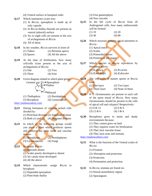- (4) Ventral surface in basipetal order
- **Q.17** Which statement/s is/are true-
	- (1) In *Riccia*, sporophyte is made up of only capsule
	- (2) In *Riccia* thallus rhizoids are present on ventral (adaxial) surface
	- (3) Six to eight cells are present in the axis of archegonium of *Riccia*
	- (4) All of these
- **Q.18** In dry weather, *Riccia* survives in form of- (1) Tubers (2) Peristent apices
	- (3) Spores (4) All the above
- **Q.19** At the time of fertilization, how many cell/cells is/are present in the axis of archegonium of *Riccia-*
	- $(1)$  One  $(2)$  Two
	- $(3)$  Three  $(4)$  Four
- **Q.20** Given diagram related to which plant group: Gemma cup  $\mathcal{Q} \rightarrow$ Sporophyte  $\rightarrow$ Thallus

Rhizoid

 $(1)$  Thallophyta

(3) Bryophyta (4) Gymnosperm

<https://madanacademy.com/>

- **Q.21** During formation of calyptra jacked cells divided by-
	- (1) Periclinal division (2) Anticlinal division

 $(2)$  Pteridophyta

- (3) Both (1) and (2) (4) Diagonal division
- **Q.22** In which of the following groups would you place a plant which produces spores and embryos but lacks seeds and vascular tissues-
	- (1) Bryophytes (2) Pteridophytes (3) Gymnosperms (4) Fungi
- **Q.23** In aquatic *Riccia-* (1) Rhizoids absent
	-
	- (2) Scales poorly developed or absent
	- (3) Air canals more developed
	- (4) All the above
- **Q.24** Which characteristic assign *Riccia* to bryophyte-
	- (1) Depended sporophyte
	- (2) Plant body thallus
- (3) Free gametophyte
- (4) Non vascular
- **Q.25** In the life cycle of *Riccia* from 20 Androgonial cells, how many antherozoids will be formed-
	- $(1) 10$   $(2) 20$
	- $(3)$  40  $(4)$  80
- **Q.26** Which structure protects apical meristem in *Riccia* -
	- (1) Apical notch
	- (2) Scales
	- (3) Primordial leaves
	- (4) Position of sex organ
- **Q.27** Which species of *Riccia* reproduces by Persistent apices-
	- (1) *R.glauca* (2) *R.curtisi*
	- (3) *R.bischoffii* (4) *R.discolor*
- **Q.28** The cell walls of mature spores in Riccia have
	- (1) One layer (2) Two layer
	- (3) Three layer (4) None of these
- **Q.29** If '6' chromosomes are present in each cell of the spore tetrad of *Riccia*. How many chromosomes should be present in the cells of apical cell and calyptra? Respectively-
	- $(1) 6 & 12$   $(2) 6 & 6$ (3)  $12 \& 6$  (4)  $3 \& 6$
- **Q.30** Bryophytes grow in moist and shady environments because-
	- (1) They cannot grow on land
	- (2) They requires water for fertilization
	- (3) They lack vascular tissue
		- (4) They lack roots and stomata
- <https://madanacademy.com/>
- **Q.31** What is the function of the Ventral scales of *Riccia*-
	- (1) Fixation
	- (2) Absorption and protection
	- (3) Protection
	- (4) Perennation and protection
- **Q.32** In *Riccia,* stomata are found on-
	- (1) Dorsal assimilatory region
	- (2) Sporangium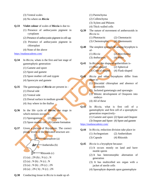- (3) Ventral scales
- (4) No where on *Riccia*

**Q.33 Violet colour** of scales of **Riccia** is due to-

- (1) Presence of anthocyanin pigment in cytoplasm
- (2) Presence of anthocyanin pigment in cell sap
- (3) Presence of anthocyanin pigment in chloroplast
- (4) None of the above

<https://madanacademy.com/>

- **Q.34** In *Riccia,* whats is the first and last stage of gametophytic generation-
	- (1) Gamete and spore
	- (2) Spore and gamete
	- (3) Spore mother cell and zygote
	- (4) Sporocyte and gamete
- **Q.35** The gametangia of *Riccia* are present in
	- (1) Dorsal side
	- (2) Ventral side
	- (3) Dorsal surface in medium groove
	- (4) Any where in the thallus
- **Q.36** In the life cycle of *Riccia,* the stage in which meiosis occurs is-
	- (1) Sporogonium (2) Oospore
	- (3) Spore mother cell (4) Gamete formation
- **Q.37** Given a picture of Bryophyte. The correct ploidy levels of the indicated structure are-



**Q.38** Conducting tissue in *Riccia* is made up of-

- (1) Parenchyma
- (2) Collenchyma
- (3) Xylem and Phloem
- (4) Thick walled cells
- **Q.39** The nature of movement of antherozoids in *Riccia* is-
	- (1) Phototactic (2) Chemotactic
	- (3) Chemotrophic (4) Chemonastic
- **Q.40** The simplest sporophyte among bryophyte is of-
	- (1) *Riccia* (2) *Marchantia*
	- (3) *Anthoceros* (4) Moss
- **Q.41** In *Riccia*, the shape of antheridium is- (1) Pear-shaped (2) Spherical (3) Conical shaped (4) Flask-shaped
- **Q.42** *Riccia* and other bryophytes differ from algae in-
	- (1) Discoidal chloroplast and absence of pyrenoids
	- (2) Jacketed gametangia and sporangia
	- (3) Mitotic development of Oospores into embryo
	- (4) All of these

**Q.43** In *Riccia,* what is first cell of a gametophytic and first cell of a sporophytic generation respectively-

(1) Gamete and spore (2) Spore and Oospore

(3) Oospore and Spore (4) Spore and gamete

<https://madanacademy.com/>

- **Q.44** In *Riccia,* reduction division take place in-
	- (1) Archegonium (2) Antheridium
	- (3) Capsule (4) Rhizoids
- **Q.45** *Riccia* is a bryophyte because-
	- (1) It occurs mostly on land and have motile sperm
	- (2) It has heteromorphic alternation of generation
	- (3) It has multicelled sex organ with a jacket of sterile cells
	- (4) Sporophyte depends upon gametophyte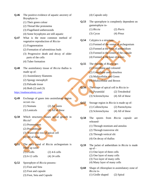

- (1) Their green colour
- (2) Thread like protonema
- (3) Flagellated antherozoids
- (4) Some bryophytes are still aquatic
- **Q.47** What is the most common method of vegetative reproduction of *Riccia-*
	- (1) Fragmentation
	- (2) Formation of adventitious buds
	- (3) Progressive death and decay of older parts of the cells
	- (4) Tuber formation
- **Q.48** The assimilatory tissue of *Riccia* thallus is made up of-
	- (1) Assimilatory filaments
	- (2) Spongy mesophyll
	- (3) Palisade tissue
	- (4) Both (2) and (3)
- <https://madanacademy.com/>
- **Q.49** Exchange of gases into assimilatory region occurs via-
	- (1) Stomata (2) Air pores
	- (3) Lenticels  $(4)$  All of these
- **Q.50** Which structures causes apical growth in *Riccia*?
	- (1) Promeristem
	- (2) Procambium
	- (3) Transverse row of apical cell
	- (4) All of these
- **Q.51** The neck canal of *Riccia* archegonium is filled up with*-*  $(1)$  2-cells  $(2)$  4-6 cells
	- (3) 6-12 cells (4) 24 cells
- **Q.52** Sporophyte of *Riccia* possess-
	- (1) Foot and Seta
	- (2) Foot and capsule
	- (3) Foot, Seta and Capsule
- (4) Capsule only
- **Q.53** The sporophyte is completely dependent on gametophyte in-
	- (1) *Riccia* (2) *Pteris* (3) *Cycas* (4) *Pinus*
- **Q.54** Calyptra is a structure-
	- (1) Formed of the venter of archegonium
	- (2) Formed at the base of antheridium
	- (3) Formed in the center of the capsule
	- (4) Formed at the base of leaves
- **Q.55** The rhizoids of *Riccia* are-
	- (1) Unicellular and coloured
	- (2) Unicellular and colourless
	- (3) Multicellular and Green
	- (4) Multicellular and Brown
- **Q.56** The shape of apical cell in *Riccia* is-
	- (1) Pyramidal (2) Tetrahedral
	- (3) Sclerenchyma (4) All of these
- **Q.57** Storage region in *Riccia* is made up of-
	- (1) Collenchyma (2) Parenchyma
	- (3) Sclerenchyma (4) All of these
- **Q.58** The spores from *Riccia* capsule are released-
	- (1) Through stomium and annulus
	- (2) Through transverse slit
	- (3) Through vertical slit
	- (4) On decay of thallus
- **Q.59** The jacket of antheridium in *Riccia* is made up of -
	- (1) One layer of three cells
	- (2) One layer of many cells
	- (3) Two layer of many cells
	- (4) Many layer of many cells
- **Q.60** Shape of chloroplast in assimilatory zone of *Riccia* is-
	- (1) Girdle shaped (2) Spiral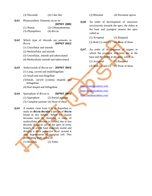(3) Discoidal (4) Cake like

**Q.61** Photosynthetic filaments occur in-

**[RPMT 2000]**

| $(1)$ Nostoc    | (2) Chlamydomonas |
|-----------------|-------------------|
| (3) Phytopthora | (4) Riccia        |

- **Q.62** Which type of rhizoids are presents in *Riccia* **[RPMT 2002]**
	- (1) Unicellular and smooth
	- (2) Multicellular and smooth
	- (3) Unicellular, smooth and tuberculated
	- (4) Multicellular smooth and tuberculated

#### **Q.63** *Antherozoids* of *Riccia* are - **[RPMT 2003]**

- (1) Long, curved and multifilagellate
- (2) Small and non-filagellate
- (3)Small, curved (comma shaped) and biflagellate
- (4) Rod shaped and biflagellate

**Q.64** Sporophyte of *Riccia* is- **[RPMT 2005]** (1) Saprophyte (2) Partial parasite (3) Complete parasite (4) None of these

**Q.65** A student came from U.P. to Rajasthan to study on *Riccia discolor* a species of *Riccia* found in dry habitat. When dry season becomes start he observed, a mass of multicellular structure is formed, due to fast division of apical cell of the apex of every branch, in which food materials stored and develop a thick protective layer around it after degeneration of marginal cell. This perennating body called as-

(1) Rhizoids (2) Tuber

#### (3) Rhizome (4) Persistent apices

- **Q.66** An order of development of structures successively towards the apex, the oldest at the base and youngest nearest the apex called as-
	- (1) Acropetal (2) Basipetal
	- (3) Both (1) and  $(2)$  (4) None of these
- **Q.67** An order of development of organs in which the youngest structures are at the base and the oldest at the apex, called as-
	- (1) Acropetal (2) Basipetal
	- (3) Both (1) and (2)  $-$  (4) None of these

<https://madanacademy.com/> <https://madanacademy.com/> <https://madanacademy.com/>